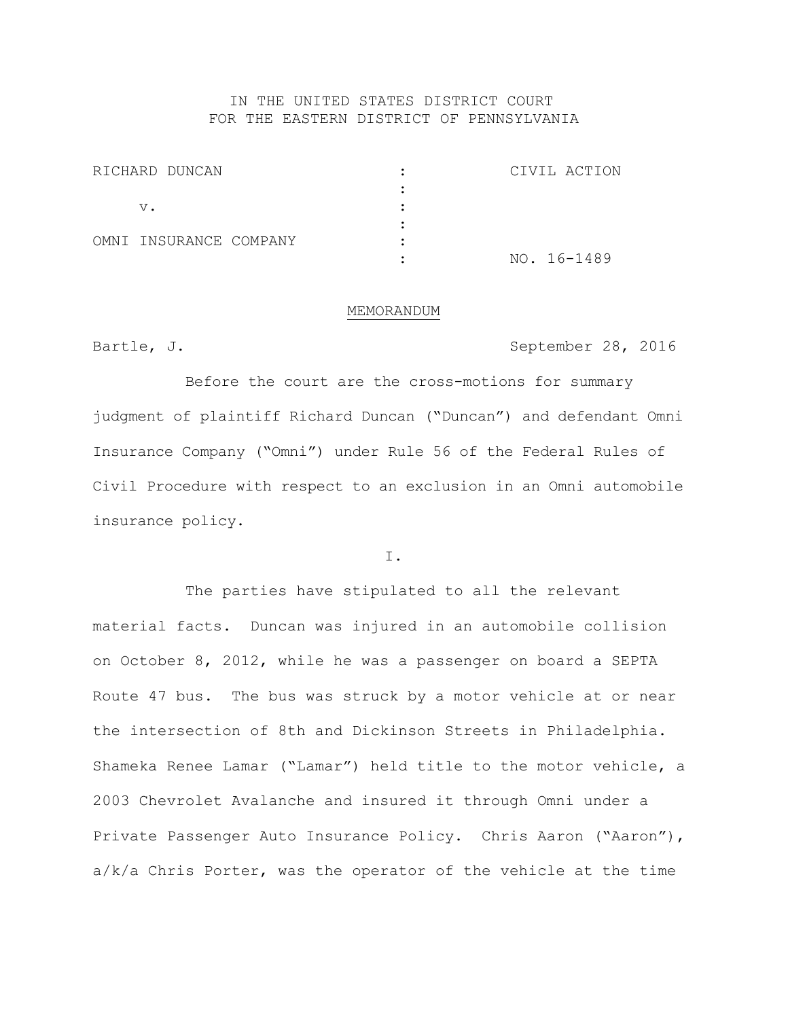### IN THE UNITED STATES DISTRICT COURT FOR THE EASTERN DISTRICT OF PENNSYLVANIA

| RICHARD DUNCAN         |  | CIVIL ACTION |
|------------------------|--|--------------|
|                        |  |              |
| v.                     |  |              |
|                        |  |              |
| OMNI INSURANCE COMPANY |  |              |
|                        |  | NO. 16-1489  |

#### MEMORANDUM

Bartle, J. September 28, 2016

Before the court are the cross-motions for summary judgment of plaintiff Richard Duncan ("Duncan") and defendant Omni Insurance Company ("Omni") under Rule 56 of the Federal Rules of Civil Procedure with respect to an exclusion in an Omni automobile insurance policy.

I.

The parties have stipulated to all the relevant material facts. Duncan was injured in an automobile collision on October 8, 2012, while he was a passenger on board a SEPTA Route 47 bus. The bus was struck by a motor vehicle at or near the intersection of 8th and Dickinson Streets in Philadelphia. Shameka Renee Lamar ("Lamar") held title to the motor vehicle, a 2003 Chevrolet Avalanche and insured it through Omni under a Private Passenger Auto Insurance Policy. Chris Aaron ("Aaron"), a/k/a Chris Porter, was the operator of the vehicle at the time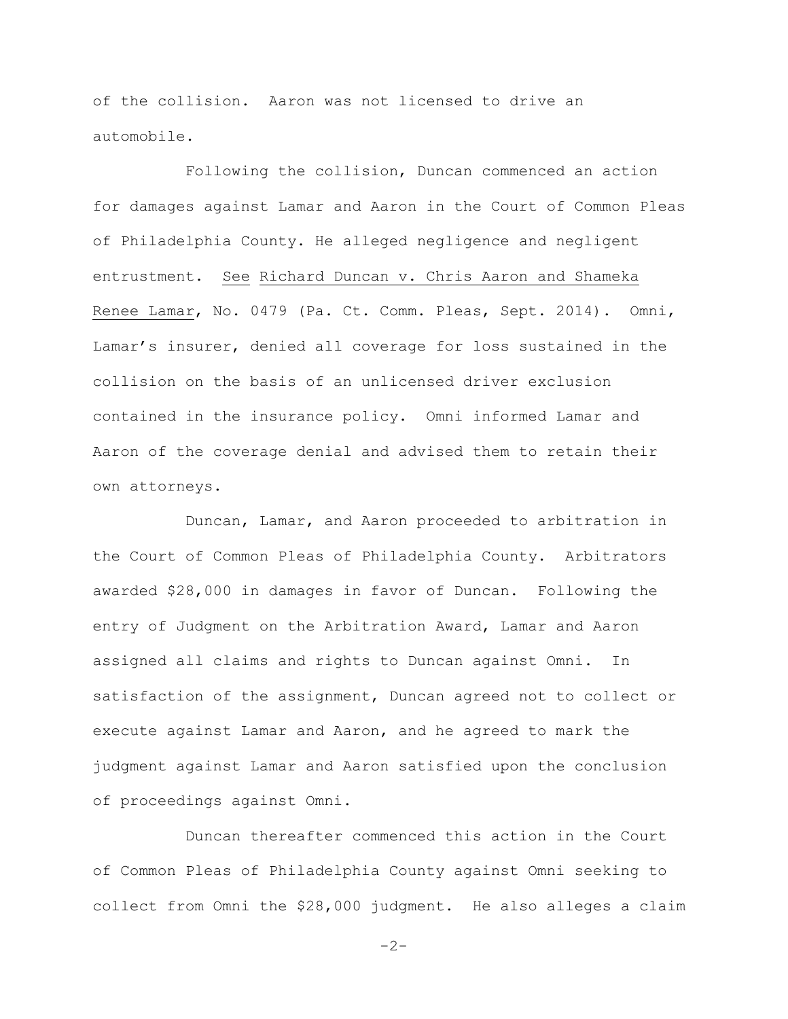of the collision. Aaron was not licensed to drive an automobile.

Following the collision, Duncan commenced an action for damages against Lamar and Aaron in the Court of Common Pleas of Philadelphia County. He alleged negligence and negligent entrustment. See Richard Duncan v. Chris Aaron and Shameka Renee Lamar, No. 0479 (Pa. Ct. Comm. Pleas, Sept. 2014). Omni, Lamar's insurer, denied all coverage for loss sustained in the collision on the basis of an unlicensed driver exclusion contained in the insurance policy. Omni informed Lamar and Aaron of the coverage denial and advised them to retain their own attorneys.

Duncan, Lamar, and Aaron proceeded to arbitration in the Court of Common Pleas of Philadelphia County. Arbitrators awarded \$28,000 in damages in favor of Duncan. Following the entry of Judgment on the Arbitration Award, Lamar and Aaron assigned all claims and rights to Duncan against Omni. In satisfaction of the assignment, Duncan agreed not to collect or execute against Lamar and Aaron, and he agreed to mark the judgment against Lamar and Aaron satisfied upon the conclusion of proceedings against Omni.

Duncan thereafter commenced this action in the Court of Common Pleas of Philadelphia County against Omni seeking to collect from Omni the \$28,000 judgment. He also alleges a claim

 $-2-$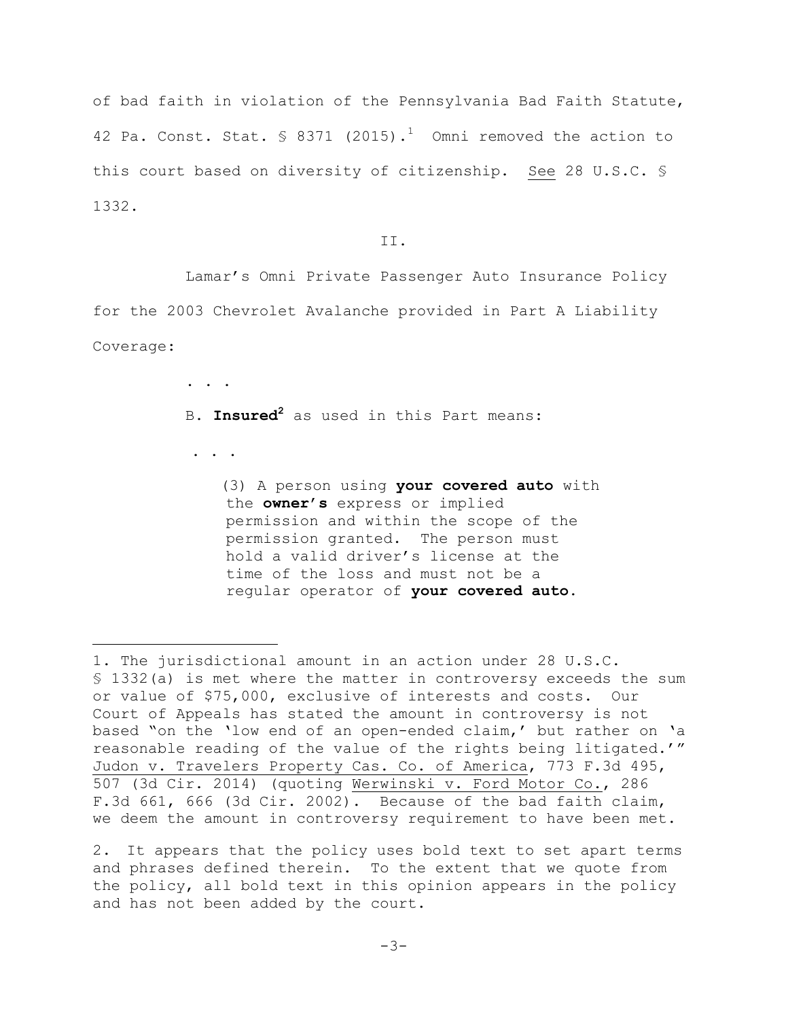of bad faith in violation of the Pennsylvania Bad Faith Statute, 42 Pa. Const. Stat.  $\frac{1}{2}$  8371 (2015).<sup>1</sup> Omni removed the action to this court based on diversity of citizenship. See 28 U.S.C. § 1332.

II.

Lamar's Omni Private Passenger Auto Insurance Policy for the 2003 Chevrolet Avalanche provided in Part A Liability Coverage:

B. **Insured<sup>2</sup>** as used in this Part means:

. . .

÷.

 $\mathbf{r} = \mathbf{r} - \mathbf{r}$ 

(3) A person using **your covered auto** with the **owner**'**s** express or implied permission and within the scope of the permission granted. The person must hold a valid driver's license at the time of the loss and must not be a regular operator of **your covered auto**.

<sup>1.</sup> The jurisdictional amount in an action under 28 U.S.C. § 1332(a) is met where the matter in controversy exceeds the sum or value of \$75,000, exclusive of interests and costs. Our Court of Appeals has stated the amount in controversy is not based "on the 'low end of an open-ended claim,' but rather on 'a reasonable reading of the value of the rights being litigated.'" Judon v. Travelers Property Cas. Co. of America, 773 F.3d 495, 507 (3d Cir. 2014) (quoting Werwinski v. Ford Motor Co., 286 F.3d 661, 666 (3d Cir. 2002). Because of the bad faith claim, we deem the amount in controversy requirement to have been met.

<sup>2.</sup> It appears that the policy uses bold text to set apart terms and phrases defined therein. To the extent that we quote from the policy, all bold text in this opinion appears in the policy and has not been added by the court.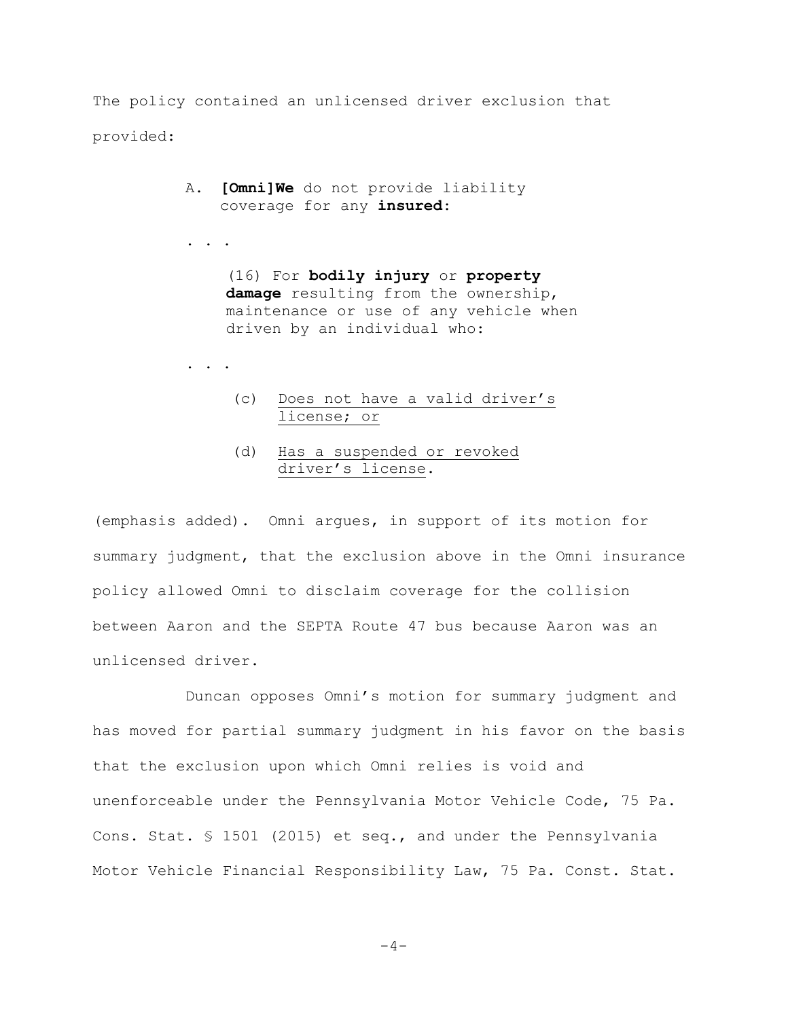The policy contained an unlicensed driver exclusion that provided:

> A. **[Omni]We** do not provide liability coverage for any **insured**:

. . .

(16) For **bodily injury** or **property damage** resulting from the ownership, maintenance or use of any vehicle when driven by an individual who:

. . .

- (c) Does not have a valid driver's license; or
- (d) Has a suspended or revoked driver's license.

(emphasis added). Omni argues, in support of its motion for summary judgment, that the exclusion above in the Omni insurance policy allowed Omni to disclaim coverage for the collision between Aaron and the SEPTA Route 47 bus because Aaron was an unlicensed driver.

Duncan opposes Omni's motion for summary judgment and has moved for partial summary judgment in his favor on the basis that the exclusion upon which Omni relies is void and unenforceable under the Pennsylvania Motor Vehicle Code, 75 Pa. Cons. Stat. § 1501 (2015) et seq., and under the Pennsylvania Motor Vehicle Financial Responsibility Law, 75 Pa. Const. Stat.

 $-4-$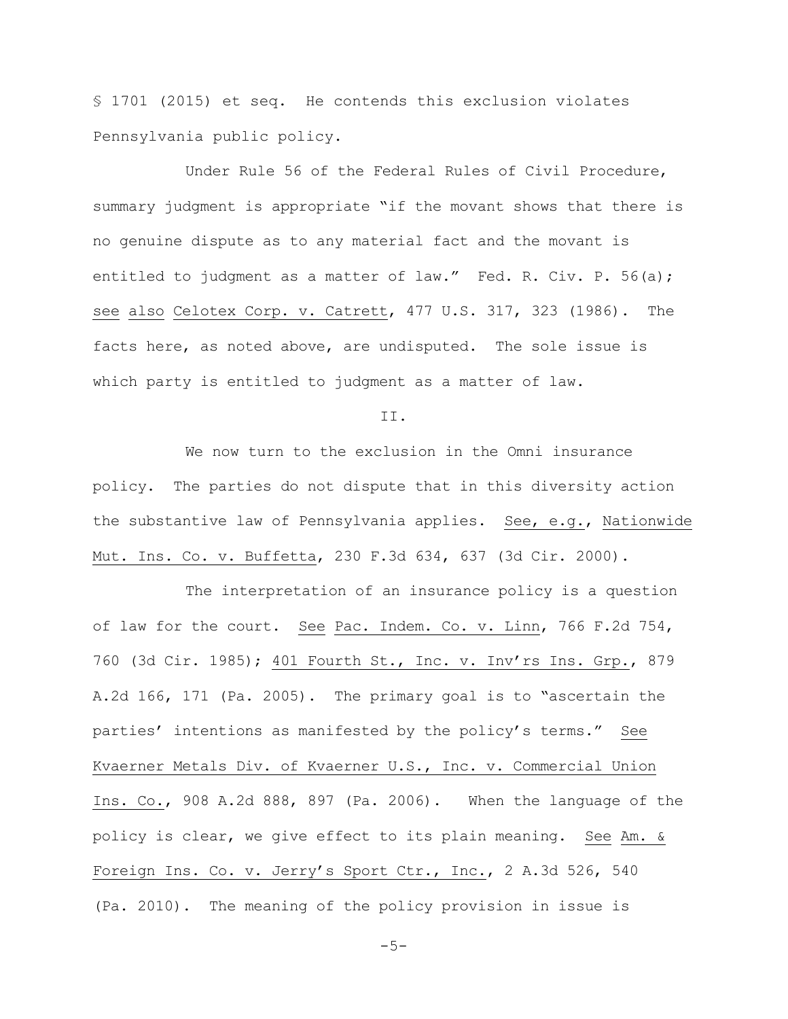§ 1701 (2015) et seq. He contends this exclusion violates Pennsylvania public policy.

Under Rule 56 of the Federal Rules of Civil Procedure, summary judgment is appropriate "if the movant shows that there is no genuine dispute as to any material fact and the movant is entitled to judgment as a matter of law." Fed. R. Civ. P. 56(a); see also Celotex Corp. v. Catrett, 477 U.S. 317, 323 (1986). The facts here, as noted above, are undisputed. The sole issue is which party is entitled to judgment as a matter of law.

II.

We now turn to the exclusion in the Omni insurance policy. The parties do not dispute that in this diversity action the substantive law of Pennsylvania applies. See, e.g., Nationwide Mut. Ins. Co. v. Buffetta, 230 F.3d 634, 637 (3d Cir. 2000).

The interpretation of an insurance policy is a question of law for the court. See Pac. Indem. Co. v. Linn, 766 F.2d 754, 760 (3d Cir. 1985); 401 Fourth St., Inc. v. Inv'rs Ins. Grp., 879 A.2d 166, 171 (Pa. 2005). The primary goal is to "ascertain the parties' intentions as manifested by the policy's terms." See Kvaerner Metals Div. of Kvaerner U.S., Inc. v. Commercial Union Ins. Co., 908 A.2d 888, 897 (Pa. 2006). When the language of the policy is clear, we give effect to its plain meaning. See Am. & Foreign Ins. Co. v. Jerry's Sport Ctr., Inc., 2 A.3d 526, 540 (Pa. 2010). The meaning of the policy provision in issue is

 $-5-$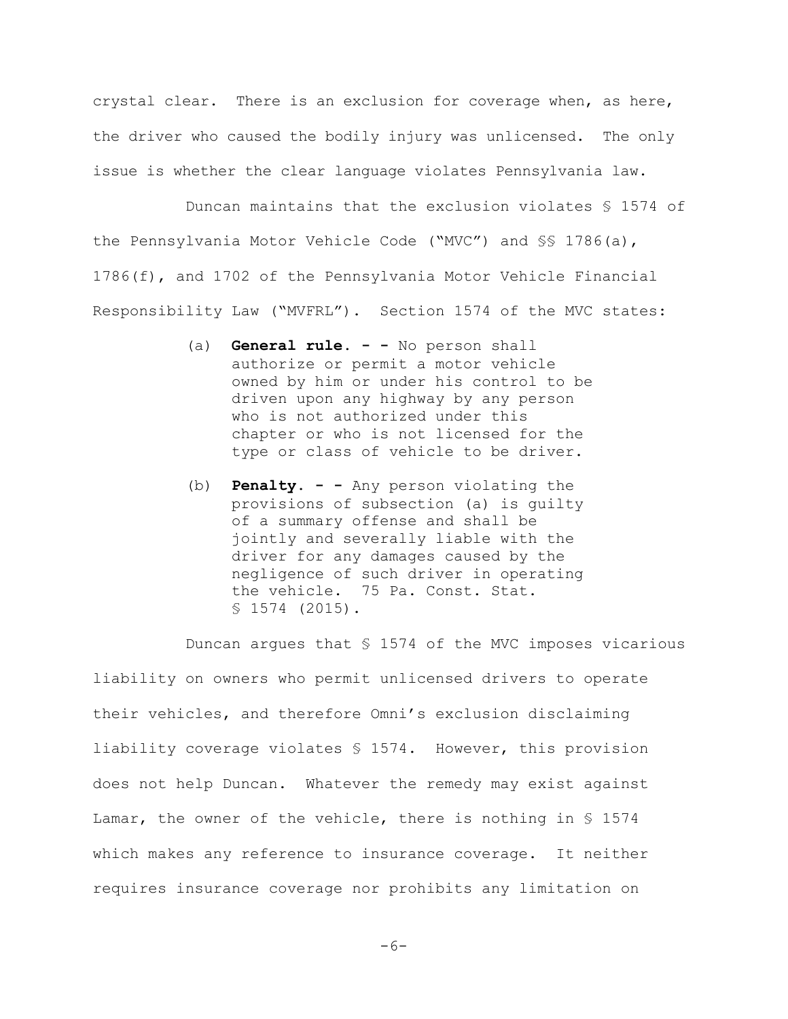crystal clear. There is an exclusion for coverage when, as here, the driver who caused the bodily injury was unlicensed. The only issue is whether the clear language violates Pennsylvania law.

Duncan maintains that the exclusion violates § 1574 of the Pennsylvania Motor Vehicle Code ("MVC") and §§ 1786(a), 1786(f), and 1702 of the Pennsylvania Motor Vehicle Financial Responsibility Law ("MVFRL"). Section 1574 of the MVC states:

- (a) **General rule. - -** No person shall authorize or permit a motor vehicle owned by him or under his control to be driven upon any highway by any person who is not authorized under this chapter or who is not licensed for the type or class of vehicle to be driver.
- (b) **Penalty. - -** Any person violating the provisions of subsection (a) is guilty of a summary offense and shall be jointly and severally liable with the driver for any damages caused by the negligence of such driver in operating the vehicle. 75 Pa. Const. Stat. § 1574 (2015).

Duncan argues that § 1574 of the MVC imposes vicarious liability on owners who permit unlicensed drivers to operate their vehicles, and therefore Omni's exclusion disclaiming liability coverage violates § 1574. However, this provision does not help Duncan. Whatever the remedy may exist against Lamar, the owner of the vehicle, there is nothing in § 1574 which makes any reference to insurance coverage. It neither requires insurance coverage nor prohibits any limitation on

-6-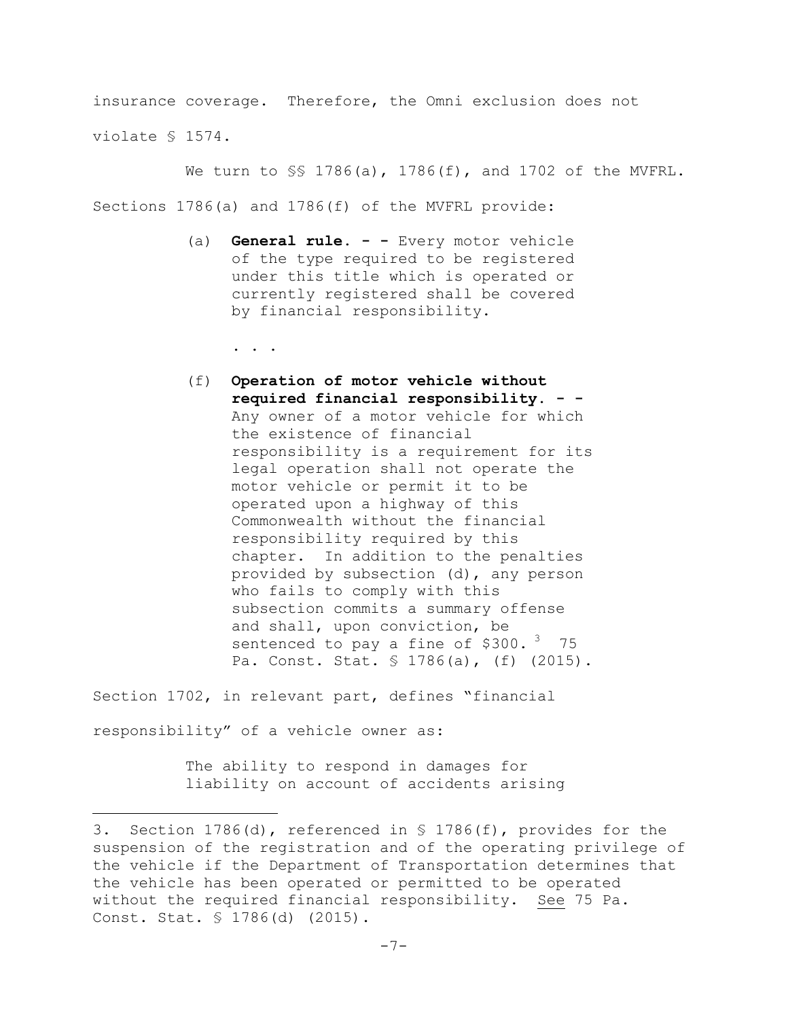insurance coverage. Therefore, the Omni exclusion does not violate § 1574.

We turn to §§ 1786(a), 1786(f), and 1702 of the MVFRL.

Sections 1786(a) and 1786(f) of the MVFRL provide:

(a) **General rule. - -** Every motor vehicle of the type required to be registered under this title which is operated or currently registered shall be covered by financial responsibility.

. . .

(f) **Operation of motor vehicle without required financial responsibility. - -** Any owner of a motor vehicle for which the existence of financial responsibility is a requirement for its legal operation shall not operate the motor vehicle or permit it to be operated upon a highway of this Commonwealth without the financial responsibility required by this chapter. In addition to the penalties provided by subsection (d), any person who fails to comply with this subsection commits a summary offense and shall, upon conviction, be sentenced to pay a fine of  $$300.^3$  75 Pa. Const. Stat. § 1786(a), (f) (2015).

Section 1702, in relevant part, defines "financial responsibility" of a vehicle owner as:

L,

The ability to respond in damages for liability on account of accidents arising

<sup>3.</sup> Section 1786(d), referenced in § 1786(f), provides for the suspension of the registration and of the operating privilege of the vehicle if the Department of Transportation determines that the vehicle has been operated or permitted to be operated without the required financial responsibility. See 75 Pa. Const. Stat. § 1786(d) (2015).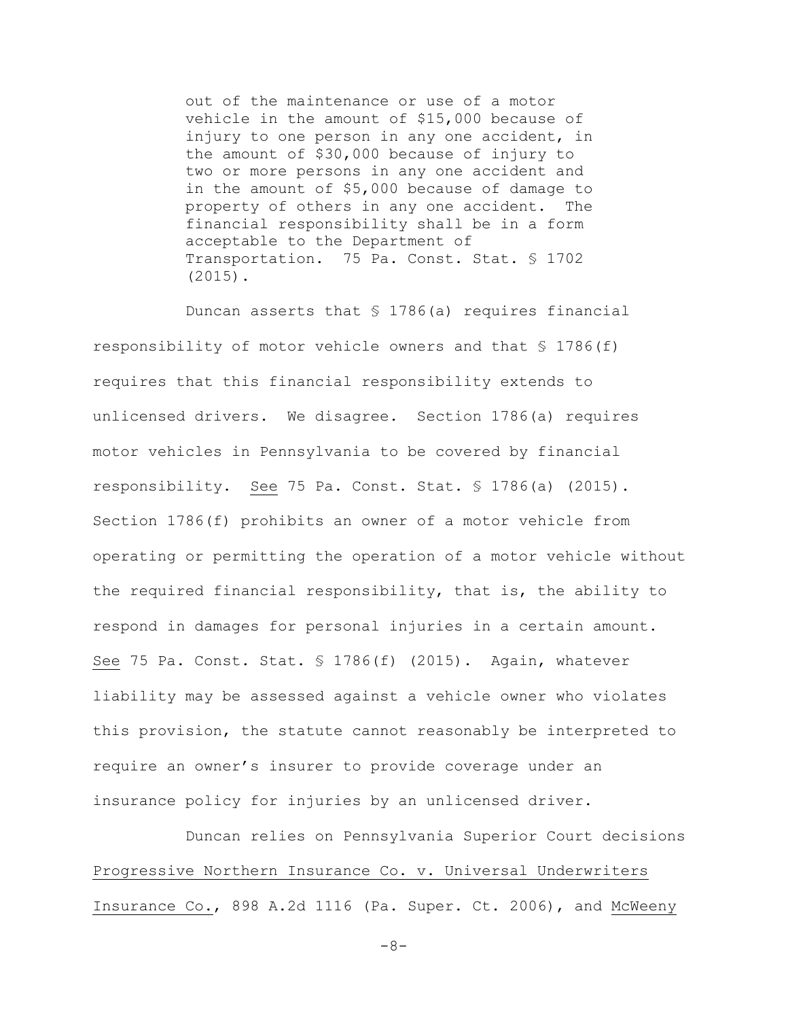out of the maintenance or use of a motor vehicle in the amount of \$15,000 because of injury to one person in any one accident, in the amount of \$30,000 because of injury to two or more persons in any one accident and in the amount of \$5,000 because of damage to property of others in any one accident. The financial responsibility shall be in a form acceptable to the Department of Transportation. 75 Pa. Const. Stat. § 1702 (2015).

Duncan asserts that § 1786(a) requires financial responsibility of motor vehicle owners and that § 1786(f) requires that this financial responsibility extends to unlicensed drivers. We disagree. Section 1786(a) requires motor vehicles in Pennsylvania to be covered by financial responsibility. See 75 Pa. Const. Stat. § 1786(a) (2015). Section 1786(f) prohibits an owner of a motor vehicle from operating or permitting the operation of a motor vehicle without the required financial responsibility, that is, the ability to respond in damages for personal injuries in a certain amount. See 75 Pa. Const. Stat. § 1786(f) (2015). Again, whatever liability may be assessed against a vehicle owner who violates this provision, the statute cannot reasonably be interpreted to require an owner's insurer to provide coverage under an insurance policy for injuries by an unlicensed driver.

Duncan relies on Pennsylvania Superior Court decisions Progressive Northern Insurance Co. v. Universal Underwriters Insurance Co., 898 A.2d 1116 (Pa. Super. Ct. 2006), and McWeeny

-8-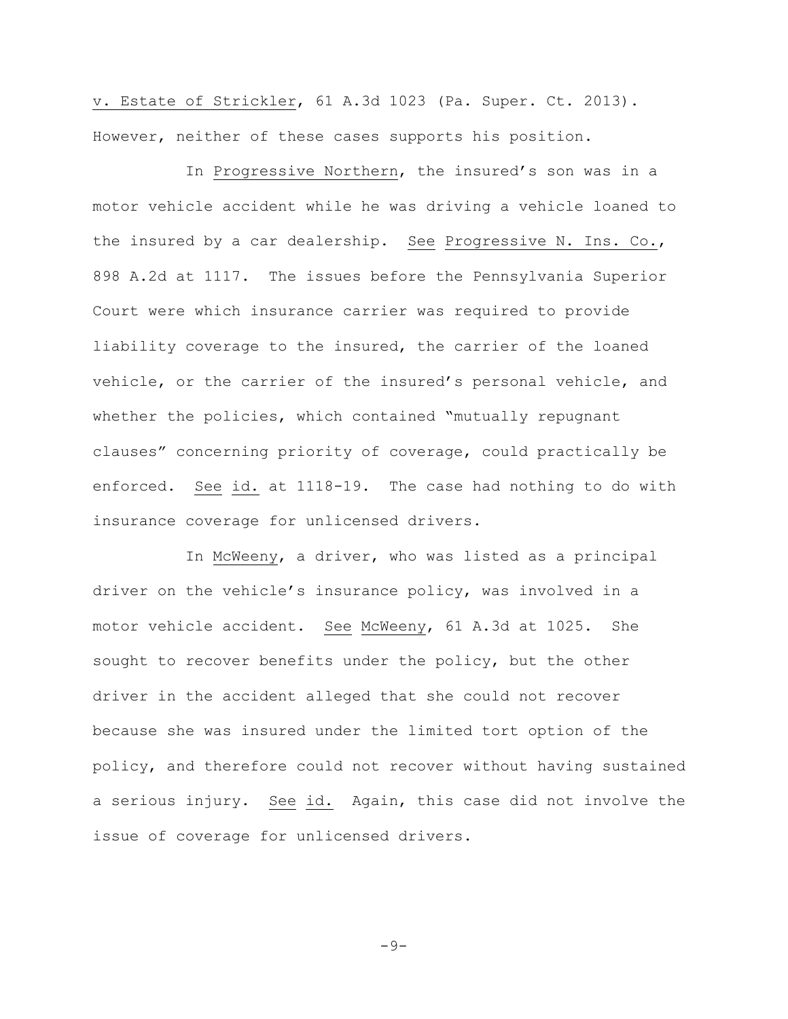v. Estate of Strickler, 61 A.3d 1023 (Pa. Super. Ct. 2013). However, neither of these cases supports his position.

In Progressive Northern, the insured's son was in a motor vehicle accident while he was driving a vehicle loaned to the insured by a car dealership. See Progressive N. Ins. Co., 898 A.2d at 1117. The issues before the Pennsylvania Superior Court were which insurance carrier was required to provide liability coverage to the insured, the carrier of the loaned vehicle, or the carrier of the insured's personal vehicle, and whether the policies, which contained "mutually repugnant clauses" concerning priority of coverage, could practically be enforced. See id. at 1118-19. The case had nothing to do with insurance coverage for unlicensed drivers.

In McWeeny, a driver, who was listed as a principal driver on the vehicle's insurance policy, was involved in a motor vehicle accident. See McWeeny, 61 A.3d at 1025. She sought to recover benefits under the policy, but the other driver in the accident alleged that she could not recover because she was insured under the limited tort option of the policy, and therefore could not recover without having sustained a serious injury. See id. Again, this case did not involve the issue of coverage for unlicensed drivers.

 $-9-$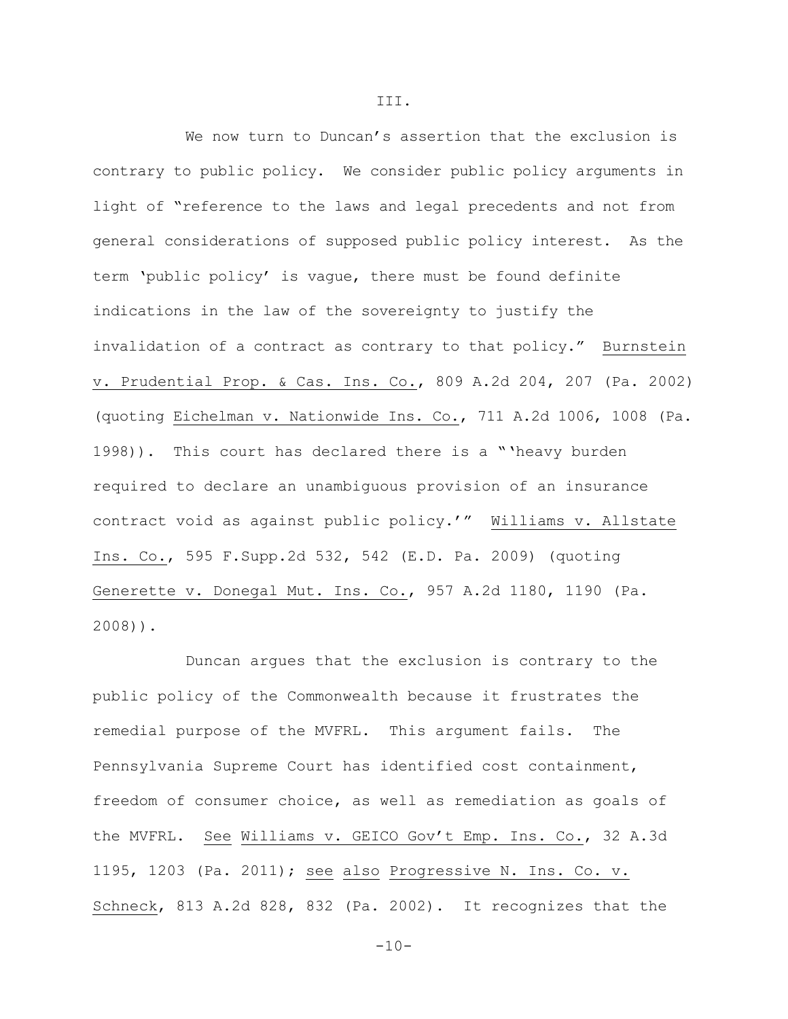We now turn to Duncan's assertion that the exclusion is contrary to public policy. We consider public policy arguments in light of "reference to the laws and legal precedents and not from general considerations of supposed public policy interest. As the term 'public policy' is vague, there must be found definite indications in the law of the sovereignty to justify the invalidation of a contract as contrary to that policy." Burnstein v. Prudential Prop. & Cas. Ins. Co., 809 A.2d 204, 207 (Pa. 2002) (quoting Eichelman v. Nationwide Ins. Co., 711 A.2d 1006, 1008 (Pa. 1998)). This court has declared there is a "'heavy burden required to declare an unambiguous provision of an insurance contract void as against public policy.'" Williams v. Allstate Ins. Co., 595 F.Supp.2d 532, 542 (E.D. Pa. 2009) (quoting Generette v. Donegal Mut. Ins. Co., 957 A.2d 1180, 1190 (Pa. 2008)).

Duncan argues that the exclusion is contrary to the public policy of the Commonwealth because it frustrates the remedial purpose of the MVFRL. This argument fails. The Pennsylvania Supreme Court has identified cost containment, freedom of consumer choice, as well as remediation as goals of the MVFRL. See Williams v. GEICO Gov't Emp. Ins. Co., 32 A.3d 1195, 1203 (Pa. 2011); see also Progressive N. Ins. Co. v. Schneck, 813 A.2d 828, 832 (Pa. 2002). It recognizes that the

III.

 $-10-$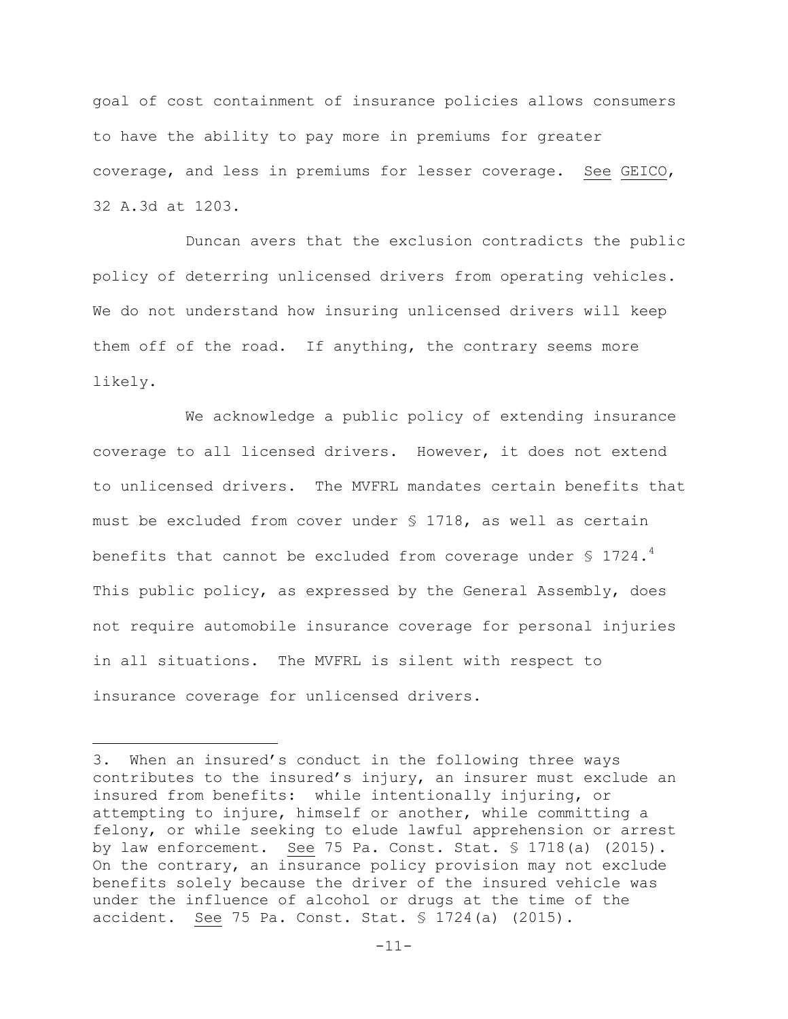goal of cost containment of insurance policies allows consumers to have the ability to pay more in premiums for greater coverage, and less in premiums for lesser coverage. See GEICO, 32 A.3d at 1203.

Duncan avers that the exclusion contradicts the public policy of deterring unlicensed drivers from operating vehicles. We do not understand how insuring unlicensed drivers will keep them off of the road. If anything, the contrary seems more likely.

We acknowledge a public policy of extending insurance coverage to all licensed drivers. However, it does not extend to unlicensed drivers. The MVFRL mandates certain benefits that must be excluded from cover under § 1718, as well as certain benefits that cannot be excluded from coverage under § 1724.<sup>4</sup> This public policy, as expressed by the General Assembly, does not require automobile insurance coverage for personal injuries in all situations. The MVFRL is silent with respect to insurance coverage for unlicensed drivers.

÷.

<sup>3.</sup> When an insured's conduct in the following three ways contributes to the insured's injury, an insurer must exclude an insured from benefits: while intentionally injuring, or attempting to injure, himself or another, while committing a felony, or while seeking to elude lawful apprehension or arrest by law enforcement. See 75 Pa. Const. Stat. § 1718(a) (2015). On the contrary, an insurance policy provision may not exclude benefits solely because the driver of the insured vehicle was under the influence of alcohol or drugs at the time of the accident. See 75 Pa. Const. Stat. § 1724(a) (2015).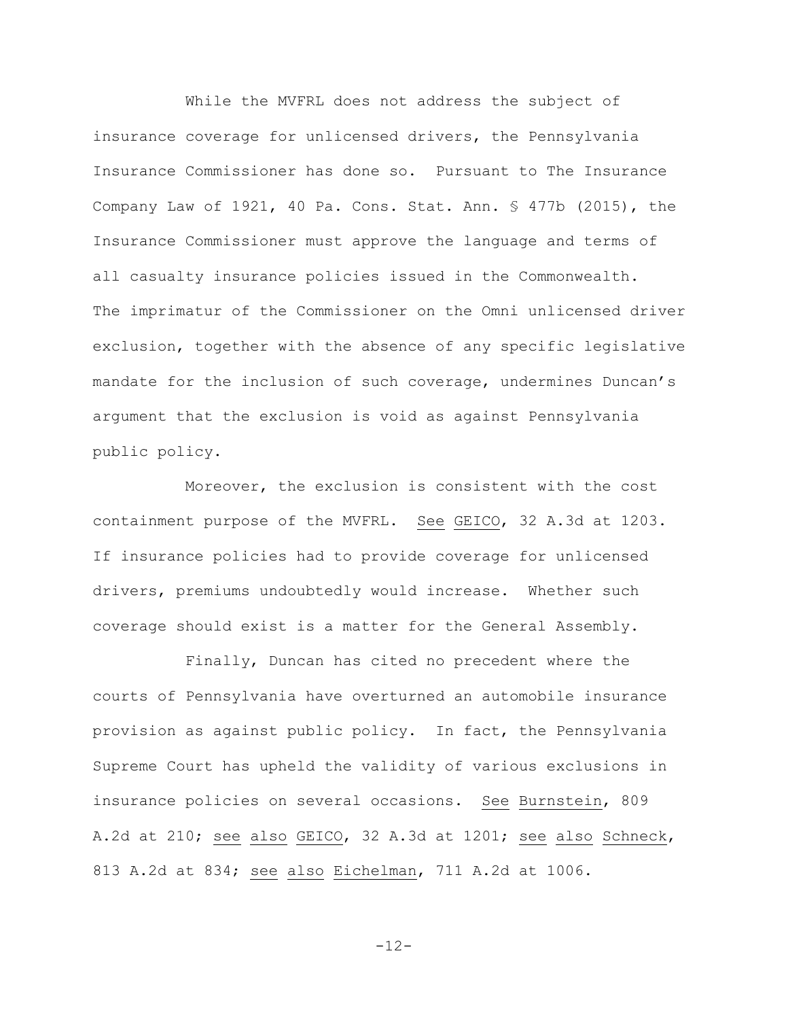While the MVFRL does not address the subject of insurance coverage for unlicensed drivers, the Pennsylvania Insurance Commissioner has done so. Pursuant to The Insurance Company Law of 1921, 40 Pa. Cons. Stat. Ann. § 477b (2015), the Insurance Commissioner must approve the language and terms of all casualty insurance policies issued in the Commonwealth. The imprimatur of the Commissioner on the Omni unlicensed driver exclusion, together with the absence of any specific legislative mandate for the inclusion of such coverage, undermines Duncan's argument that the exclusion is void as against Pennsylvania public policy.

Moreover, the exclusion is consistent with the cost containment purpose of the MVFRL. See GEICO, 32 A.3d at 1203. If insurance policies had to provide coverage for unlicensed drivers, premiums undoubtedly would increase. Whether such coverage should exist is a matter for the General Assembly.

Finally, Duncan has cited no precedent where the courts of Pennsylvania have overturned an automobile insurance provision as against public policy. In fact, the Pennsylvania Supreme Court has upheld the validity of various exclusions in insurance policies on several occasions. See Burnstein, 809 A.2d at 210; see also GEICO, 32 A.3d at 1201; see also Schneck, 813 A.2d at 834; see also Eichelman, 711 A.2d at 1006.

$$
-12-
$$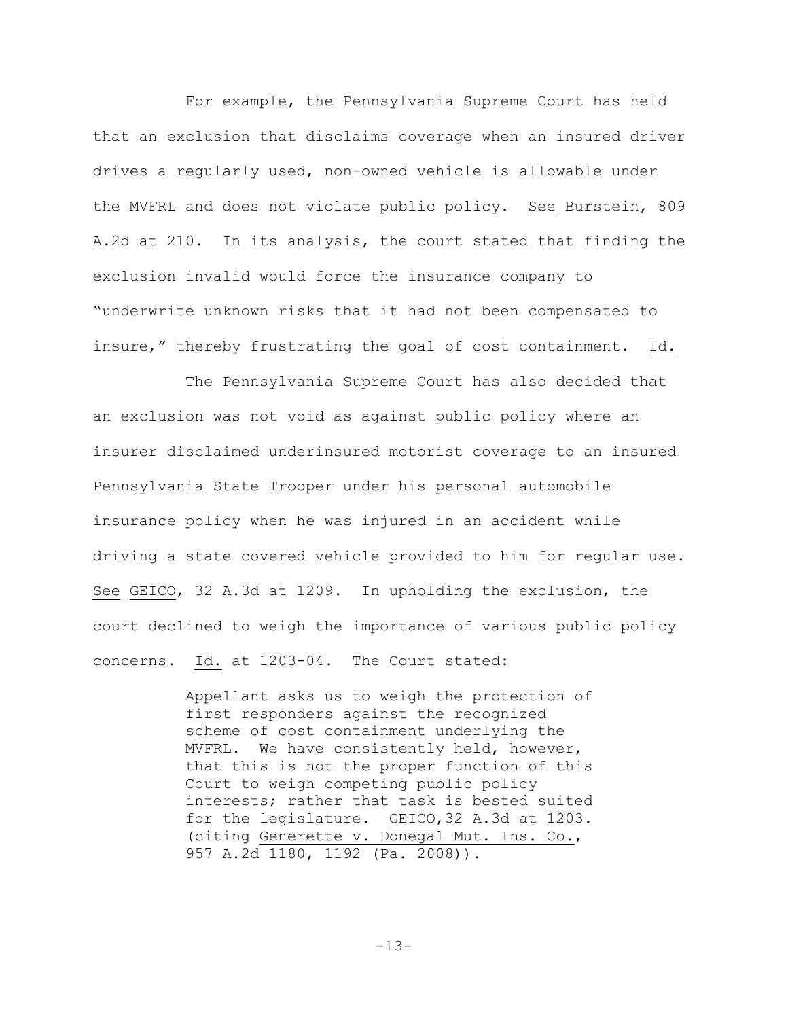For example, the Pennsylvania Supreme Court has held that an exclusion that disclaims coverage when an insured driver drives a regularly used, non-owned vehicle is allowable under the MVFRL and does not violate public policy. See Burstein, 809 A.2d at 210. In its analysis, the court stated that finding the exclusion invalid would force the insurance company to "underwrite unknown risks that it had not been compensated to insure," thereby frustrating the goal of cost containment. Id.

The Pennsylvania Supreme Court has also decided that an exclusion was not void as against public policy where an insurer disclaimed underinsured motorist coverage to an insured Pennsylvania State Trooper under his personal automobile insurance policy when he was injured in an accident while driving a state covered vehicle provided to him for regular use. See GEICO, 32 A.3d at 1209. In upholding the exclusion, the court declined to weigh the importance of various public policy concerns. Id. at 1203-04. The Court stated:

> Appellant asks us to weigh the protection of first responders against the recognized scheme of cost containment underlying the MVFRL. We have consistently held, however, that this is not the proper function of this Court to weigh competing public policy interests; rather that task is bested suited for the legislature. GEICO,32 A.3d at 1203. (citing Generette v. Donegal Mut. Ins. Co., 957 A.2d 1180, 1192 (Pa. 2008)).

> > -13-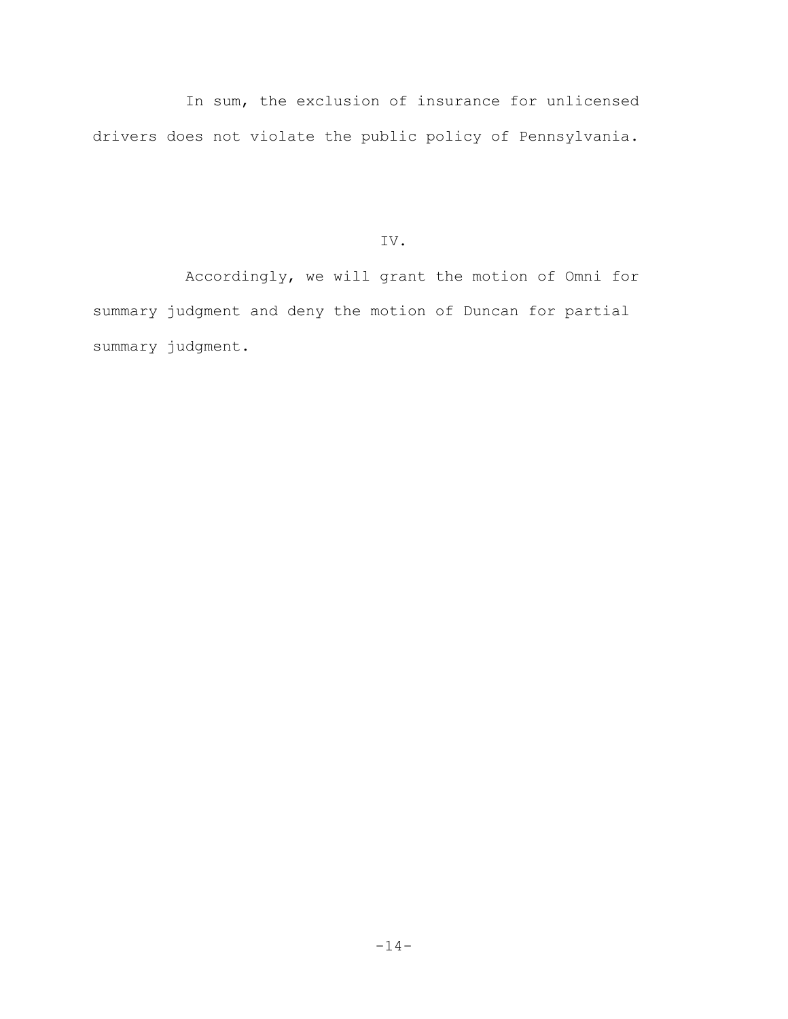In sum, the exclusion of insurance for unlicensed drivers does not violate the public policy of Pennsylvania.

IV.

Accordingly, we will grant the motion of Omni for summary judgment and deny the motion of Duncan for partial summary judgment.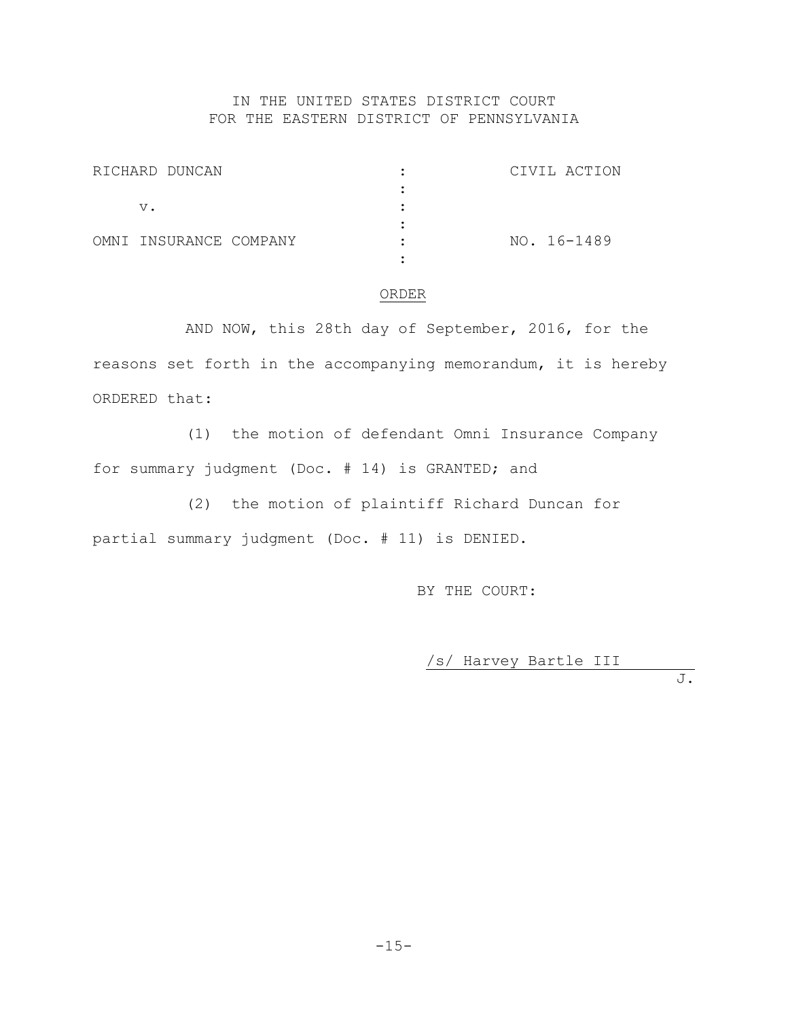# IN THE UNITED STATES DISTRICT COURT FOR THE EASTERN DISTRICT OF PENNSYLVANIA

| RICHARD DUNCAN         |  | CIVIL ACTION |
|------------------------|--|--------------|
|                        |  |              |
| v.                     |  |              |
|                        |  |              |
| OMNI INSURANCE COMPANY |  | NO. 16-1489  |
|                        |  |              |

### ORDER

AND NOW, this 28th day of September, 2016, for the reasons set forth in the accompanying memorandum, it is hereby ORDERED that:

(1) the motion of defendant Omni Insurance Company for summary judgment (Doc. # 14) is GRANTED; and

(2) the motion of plaintiff Richard Duncan for partial summary judgment (Doc. # 11) is DENIED.

BY THE COURT:

/s/ Harvey Bartle III

J.